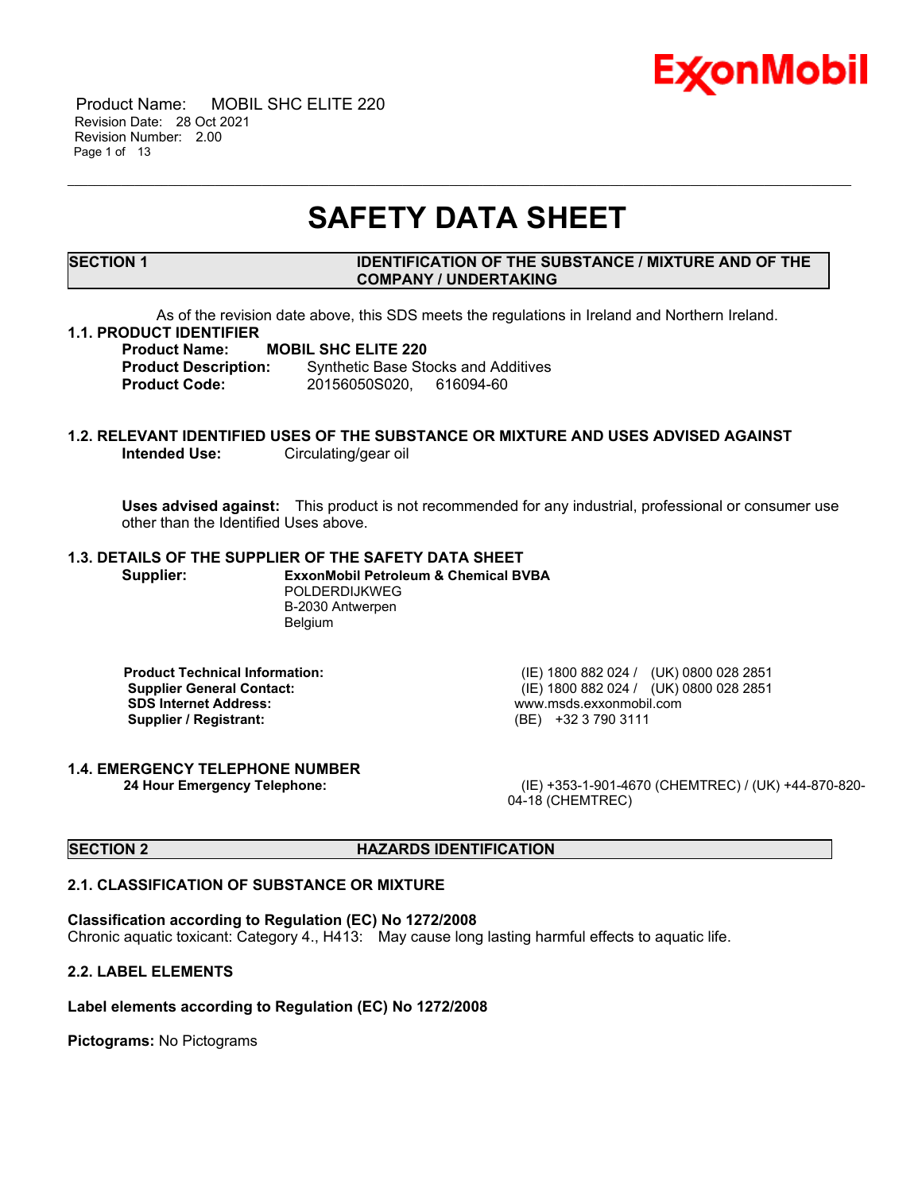

 Product Name: MOBIL SHC ELITE 220 Revision Date: 28 Oct 2021 Revision Number: 2.00 Page 1 of 13

## **SAFETY DATA SHEET**

\_\_\_\_\_\_\_\_\_\_\_\_\_\_\_\_\_\_\_\_\_\_\_\_\_\_\_\_\_\_\_\_\_\_\_\_\_\_\_\_\_\_\_\_\_\_\_\_\_\_\_\_\_\_\_\_\_\_\_\_\_\_\_\_\_\_\_\_\_\_\_\_\_\_\_\_\_\_\_\_\_\_\_\_\_\_\_\_\_\_\_\_\_\_\_\_\_\_\_\_\_\_\_\_\_\_\_\_\_\_\_\_\_\_\_\_\_

#### **SECTION 1 IDENTIFICATION OF THE SUBSTANCE / MIXTURE AND OF THE COMPANY / UNDERTAKING**

As of the revision date above, this SDS meets the regulations in Ireland and Northern Ireland.

#### **1.1. PRODUCT IDENTIFIER**

**Product Name: MOBIL SHC ELITE 220**

**Product Description:** Synthetic Base Stocks and Additives **Product Code:** 20156050S020, 616094-60

## **1.2. RELEVANT IDENTIFIED USES OF THE SUBSTANCE OR MIXTURE AND USES ADVISED AGAINST Intended Use:** Circulating/gear oil

**Uses advised against:** This product is not recommended for any industrial, professional or consumer use other than the Identified Uses above.

### **1.3. DETAILS OF THE SUPPLIER OF THE SAFETY DATA SHEET**

**Supplier: ExxonMobil Petroleum & Chemical BVBA** POLDERDIJKWEG B-2030 Antwerpen Belgium

**Supplier / Registrant:** 

**Product Technical Information:** (IE) 1800 882 024 / (UK) 0800 028 2851 **Supplier General Contact:** (IE) 1800 882 024 / (UK) 0800 028 2851<br> **SDS Internet Address:** (IE) 1800 882 024 / (UK) 0800 028 2851 www.msds.exxonmobil.com<br>(BE) +32 3 790 3111

## **1.4. EMERGENCY TELEPHONE NUMBER**

**24 Hour Emergency Telephone:** (IE) +353-1-901-4670 (CHEMTREC) / (UK) +44-870-820- 04-18 (CHEMTREC)

#### **SECTION 2 HAZARDS IDENTIFICATION**

#### **2.1. CLASSIFICATION OF SUBSTANCE OR MIXTURE**

#### **Classification according to Regulation (EC) No 1272/2008**

Chronic aquatic toxicant: Category 4., H413: May cause long lasting harmful effects to aquatic life.

#### **2.2. LABEL ELEMENTS**

#### **Label elements according to Regulation (EC) No 1272/2008**

**Pictograms:** No Pictograms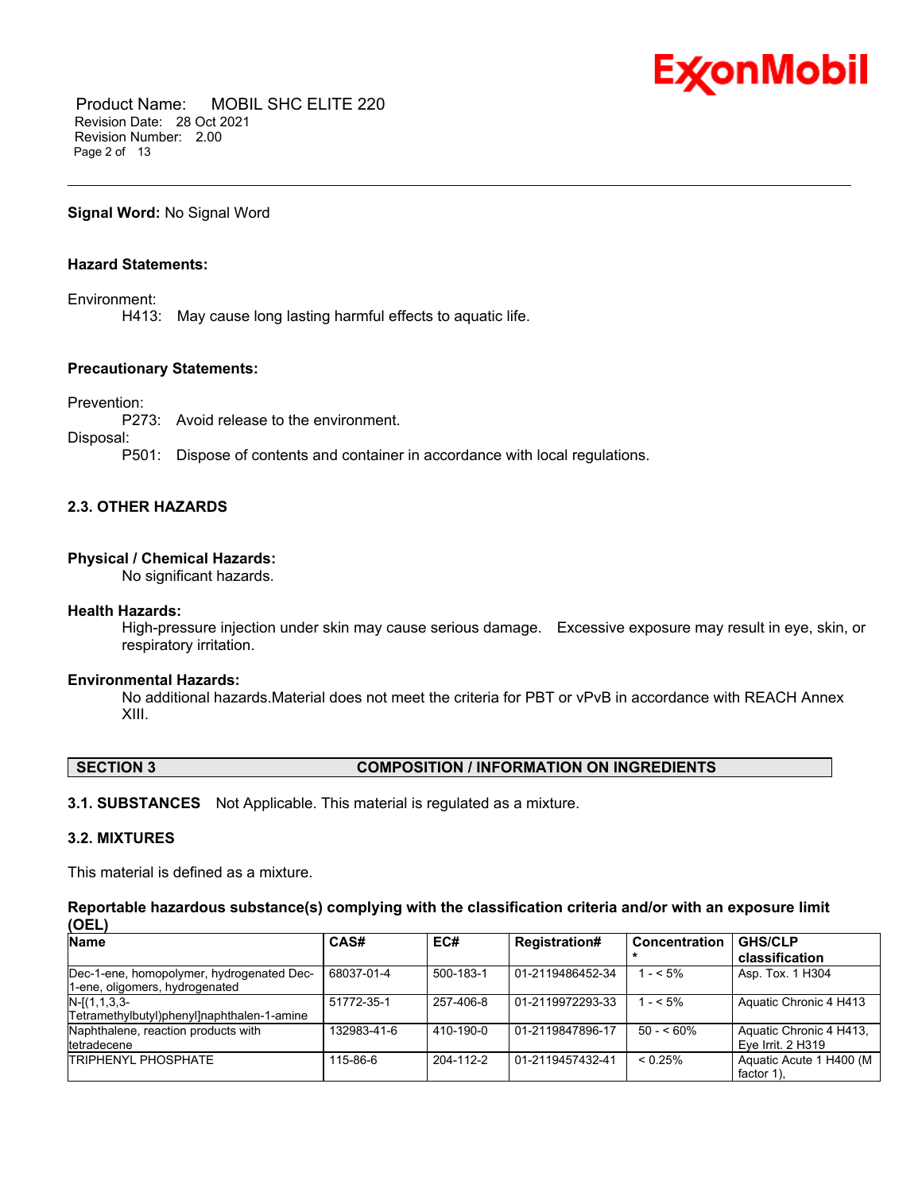

 Product Name: MOBIL SHC ELITE 220 Revision Date: 28 Oct 2021 Revision Number: 2.00 Page 2 of 13

**Signal Word:** No Signal Word

#### **Hazard Statements:**

Environment:

H413: May cause long lasting harmful effects to aquatic life.

#### **Precautionary Statements:**

Prevention:

P273: Avoid release to the environment.

Disposal:

P501: Dispose of contents and container in accordance with local regulations.

#### **2.3. OTHER HAZARDS**

#### **Physical / Chemical Hazards:**

No significant hazards.

#### **Health Hazards:**

High-pressure injection under skin may cause serious damage. Excessive exposure may result in eye, skin, or respiratory irritation.

\_\_\_\_\_\_\_\_\_\_\_\_\_\_\_\_\_\_\_\_\_\_\_\_\_\_\_\_\_\_\_\_\_\_\_\_\_\_\_\_\_\_\_\_\_\_\_\_\_\_\_\_\_\_\_\_\_\_\_\_\_\_\_\_\_\_\_\_\_\_\_\_\_\_\_\_\_\_\_\_\_\_\_\_\_\_\_\_\_\_\_\_\_\_\_\_\_\_\_\_\_\_\_\_\_\_\_\_\_\_\_\_\_\_\_\_\_

#### **Environmental Hazards:**

No additional hazards.Material does not meet the criteria for PBT or vPvB in accordance with REACH Annex XIII.

#### **SECTION 3 COMPOSITION / INFORMATION ON INGREDIENTS**

**3.1. SUBSTANCES** Not Applicable. This material is regulated as a mixture.

#### **3.2. MIXTURES**

This material is defined as a mixture.

**Reportable hazardous substance(s) complying with the classification criteria and/or with an exposure limit (OEL)**

| <b>Name</b>                                                                 | CAS#        | EC#             | <b>Registration#</b> | Concentration | <b>GHS/CLP</b><br>classification             |
|-----------------------------------------------------------------------------|-------------|-----------------|----------------------|---------------|----------------------------------------------|
| Dec-1-ene, homopolymer, hydrogenated Dec-<br>1-ene, oligomers, hydrogenated | 68037-01-4  | 500-183-1       | 01-2119486452-34     | $- < 5\%$     | Asp. Tox. 1 H304                             |
| $N-[1,1,3,3-$<br>Tetramethylbutyl)phenyl]naphthalen-1-amine                 | 51772-35-1  | 257-406-8       | 01-2119972293-33     | 1 - < 5%      | Aquatic Chronic 4 H413                       |
| Naphthalene, reaction products with<br>tetradecene                          | 132983-41-6 | 410-190-0       | 01-2119847896-17     | $50 - 60\%$   | Aquatic Chronic 4 H413,<br>Eye Irrit. 2 H319 |
| <b>TRIPHENYL PHOSPHATE</b>                                                  | 115-86-6    | $204 - 112 - 2$ | 01-2119457432-41     | $< 0.25\%$    | Aquatic Acute 1 H400 (M)<br>factor 1).       |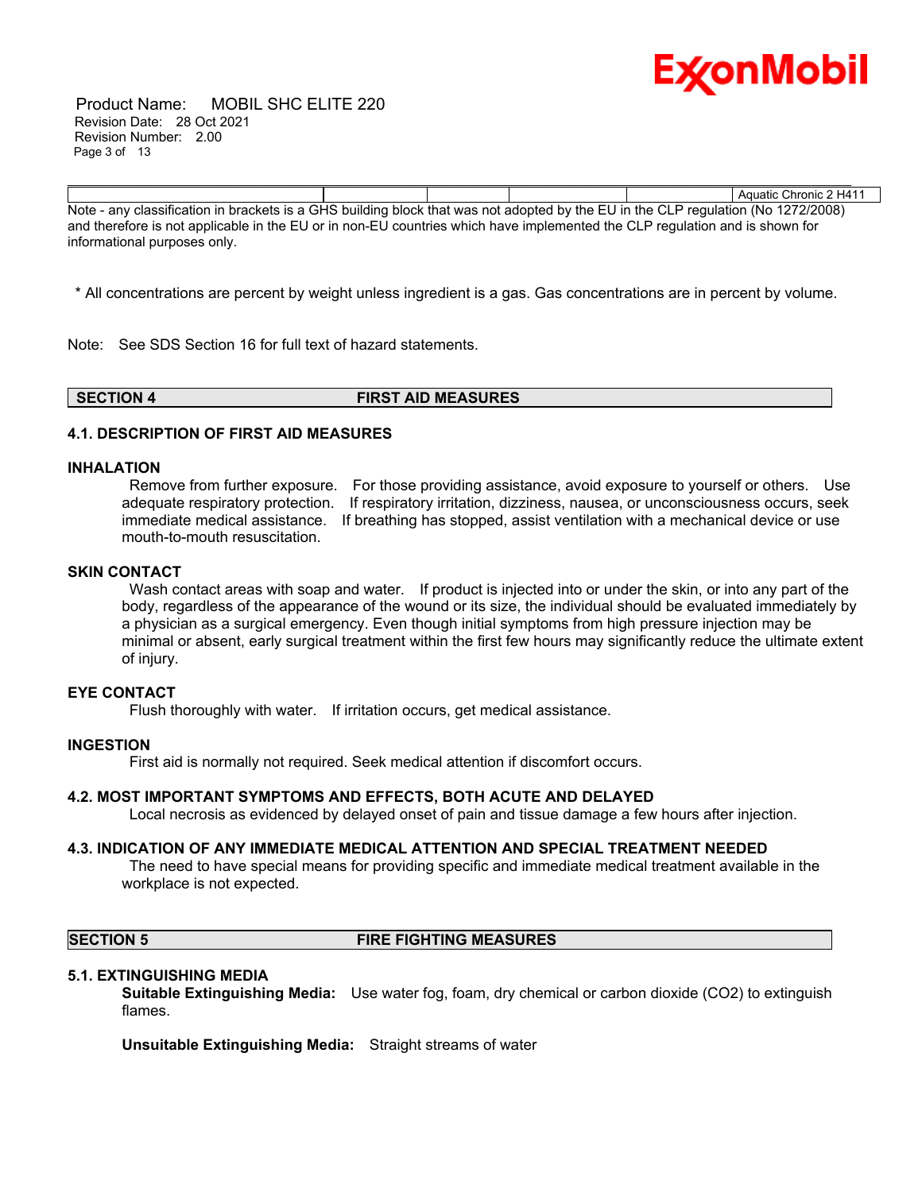

 Product Name: MOBIL SHC ELITE 220 Revision Date: 28 Oct 2021 Revision Number: 2.00 Page 3 of 13

Aquatic Chronic 2 H411 Note - any classification in brackets is a GHS building block that was not adopted by the EU in the CLP regulation (No 1272/2008) and therefore is not applicable in the EU or in non-EU countries which have implemented the CLP regulation and is shown for informational purposes only.

\_\_\_\_\_\_\_\_\_\_\_\_\_\_\_\_\_\_\_\_\_\_\_\_\_\_\_\_\_\_\_\_\_\_\_\_\_\_\_\_\_\_\_\_\_\_\_\_\_\_\_\_\_\_\_\_\_\_\_\_\_\_\_\_\_\_\_\_\_\_\_\_\_\_\_\_\_\_\_\_\_\_\_\_\_\_\_\_\_\_\_\_\_\_\_\_\_\_\_\_\_\_\_\_\_\_\_\_\_\_\_\_\_\_\_\_\_

\* All concentrations are percent by weight unless ingredient is a gas. Gas concentrations are in percent by volume.

Note: See SDS Section 16 for full text of hazard statements.

**SECTION 4 FIRST AID MEASURES**

#### **4.1. DESCRIPTION OF FIRST AID MEASURES**

#### **INHALATION**

Remove from further exposure. For those providing assistance, avoid exposure to yourself or others. Use adequate respiratory protection. If respiratory irritation, dizziness, nausea, or unconsciousness occurs, seek immediate medical assistance. If breathing has stopped, assist ventilation with a mechanical device or use mouth-to-mouth resuscitation.

#### **SKIN CONTACT**

Wash contact areas with soap and water. If product is injected into or under the skin, or into any part of the body, regardless of the appearance of the wound or its size, the individual should be evaluated immediately by a physician as a surgical emergency. Even though initial symptoms from high pressure injection may be minimal or absent, early surgical treatment within the first few hours may significantly reduce the ultimate extent of injury.

#### **EYE CONTACT**

Flush thoroughly with water. If irritation occurs, get medical assistance.

#### **INGESTION**

First aid is normally not required. Seek medical attention if discomfort occurs.

#### **4.2. MOST IMPORTANT SYMPTOMS AND EFFECTS, BOTH ACUTE AND DELAYED**

Local necrosis as evidenced by delayed onset of pain and tissue damage a few hours after injection.

#### **4.3. INDICATION OF ANY IMMEDIATE MEDICAL ATTENTION AND SPECIAL TREATMENT NEEDED**

The need to have special means for providing specific and immediate medical treatment available in the workplace is not expected.

#### **SECTION 5 FIRE FIGHTING MEASURES**

#### **5.1. EXTINGUISHING MEDIA**

**Suitable Extinguishing Media:** Use water fog, foam, dry chemical or carbon dioxide (CO2) to extinguish flames.

**Unsuitable Extinguishing Media:** Straight streams of water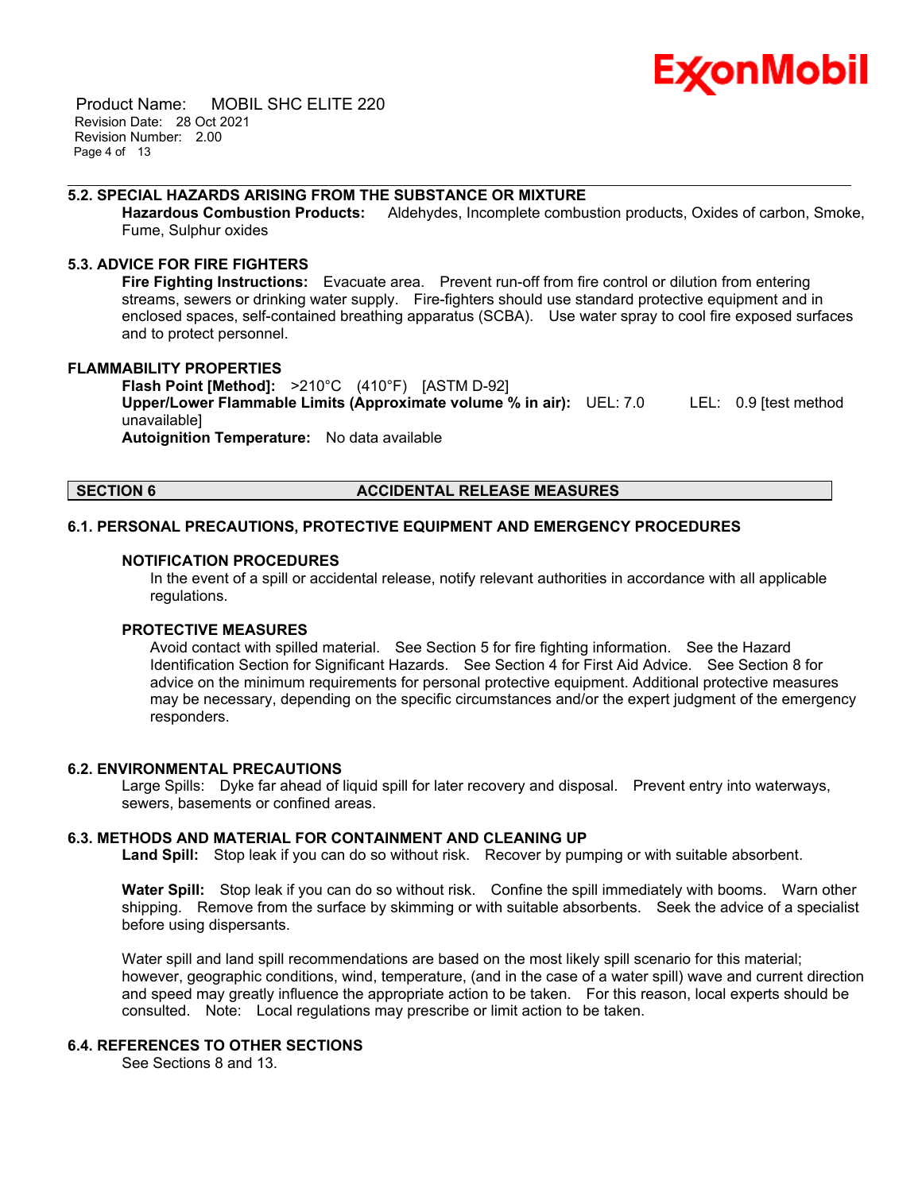

 Product Name: MOBIL SHC ELITE 220 Revision Date: 28 Oct 2021 Revision Number: 2.00 Page 4 of 13

#### **5.2. SPECIAL HAZARDS ARISING FROM THE SUBSTANCE OR MIXTURE**

**Hazardous Combustion Products:** Aldehydes, Incomplete combustion products, Oxides of carbon, Smoke, Fume, Sulphur oxides

\_\_\_\_\_\_\_\_\_\_\_\_\_\_\_\_\_\_\_\_\_\_\_\_\_\_\_\_\_\_\_\_\_\_\_\_\_\_\_\_\_\_\_\_\_\_\_\_\_\_\_\_\_\_\_\_\_\_\_\_\_\_\_\_\_\_\_\_\_\_\_\_\_\_\_\_\_\_\_\_\_\_\_\_\_\_\_\_\_\_\_\_\_\_\_\_\_\_\_\_\_\_\_\_\_\_\_\_\_\_\_\_\_\_\_\_\_

#### **5.3. ADVICE FOR FIRE FIGHTERS**

**Fire Fighting Instructions:** Evacuate area. Prevent run-off from fire control or dilution from entering streams, sewers or drinking water supply. Fire-fighters should use standard protective equipment and in enclosed spaces, self-contained breathing apparatus (SCBA). Use water spray to cool fire exposed surfaces and to protect personnel.

#### **FLAMMABILITY PROPERTIES**

**Flash Point [Method]:** >210°C (410°F) [ASTM D-92] **Upper/Lower Flammable Limits (Approximate volume % in air):** UEL: 7.0 LEL: 0.9 [test method unavailable] **Autoignition Temperature:** No data available

#### **SECTION 6 ACCIDENTAL RELEASE MEASURES**

#### **6.1. PERSONAL PRECAUTIONS, PROTECTIVE EQUIPMENT AND EMERGENCY PROCEDURES**

#### **NOTIFICATION PROCEDURES**

In the event of a spill or accidental release, notify relevant authorities in accordance with all applicable regulations.

#### **PROTECTIVE MEASURES**

Avoid contact with spilled material. See Section 5 for fire fighting information. See the Hazard Identification Section for Significant Hazards. See Section 4 for First Aid Advice. See Section 8 for advice on the minimum requirements for personal protective equipment. Additional protective measures may be necessary, depending on the specific circumstances and/or the expert judgment of the emergency responders.

#### **6.2. ENVIRONMENTAL PRECAUTIONS**

Large Spills: Dyke far ahead of liquid spill for later recovery and disposal. Prevent entry into waterways, sewers, basements or confined areas.

#### **6.3. METHODS AND MATERIAL FOR CONTAINMENT AND CLEANING UP**

**Land Spill:** Stop leak if you can do so without risk. Recover by pumping or with suitable absorbent.

**Water Spill:** Stop leak if you can do so without risk. Confine the spill immediately with booms. Warn other shipping. Remove from the surface by skimming or with suitable absorbents. Seek the advice of a specialist before using dispersants.

Water spill and land spill recommendations are based on the most likely spill scenario for this material; however, geographic conditions, wind, temperature, (and in the case of a water spill) wave and current direction and speed may greatly influence the appropriate action to be taken. For this reason, local experts should be consulted. Note: Local regulations may prescribe or limit action to be taken.

#### **6.4. REFERENCES TO OTHER SECTIONS**

See Sections 8 and 13.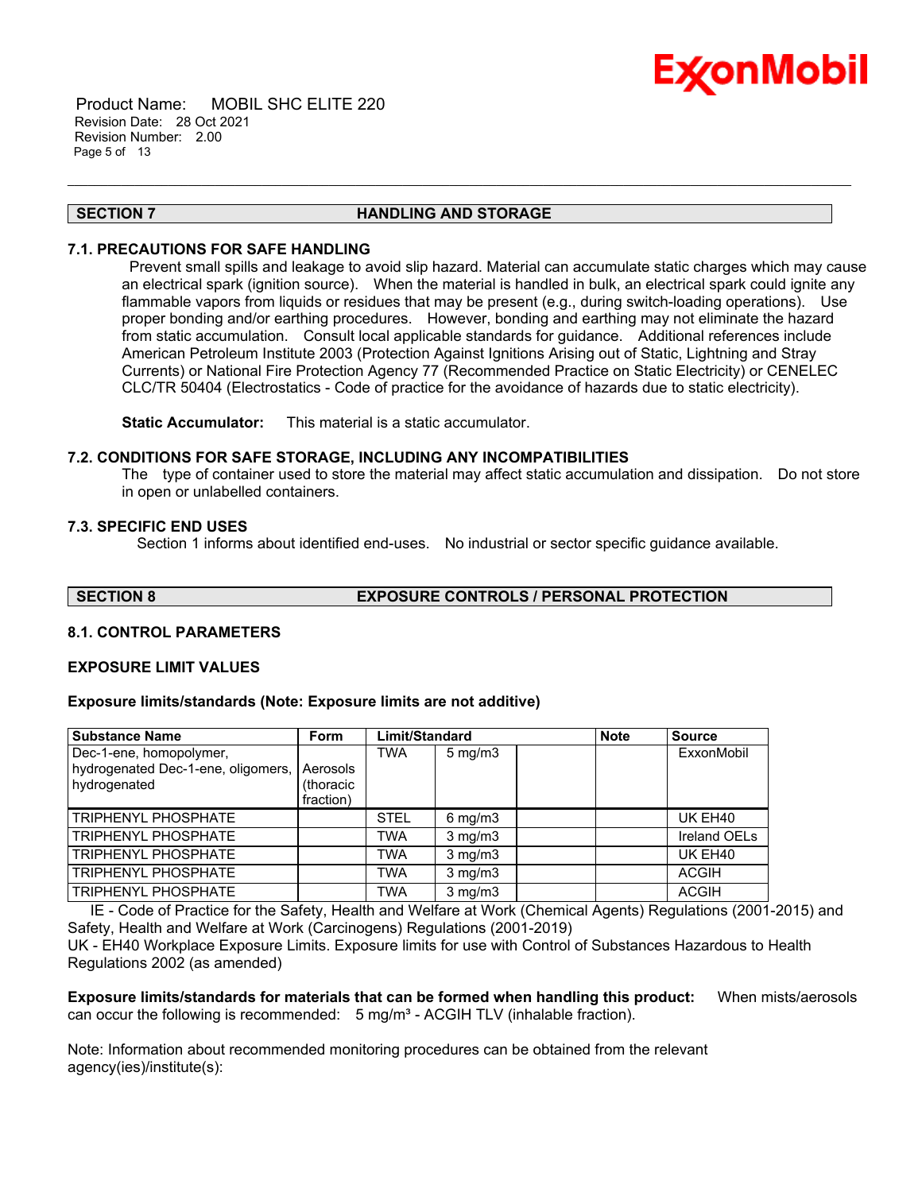

 Product Name: MOBIL SHC ELITE 220 Revision Date: 28 Oct 2021 Revision Number: 2.00 Page 5 of 13

#### **SECTION 7 HANDLING AND STORAGE**

\_\_\_\_\_\_\_\_\_\_\_\_\_\_\_\_\_\_\_\_\_\_\_\_\_\_\_\_\_\_\_\_\_\_\_\_\_\_\_\_\_\_\_\_\_\_\_\_\_\_\_\_\_\_\_\_\_\_\_\_\_\_\_\_\_\_\_\_\_\_\_\_\_\_\_\_\_\_\_\_\_\_\_\_\_\_\_\_\_\_\_\_\_\_\_\_\_\_\_\_\_\_\_\_\_\_\_\_\_\_\_\_\_\_\_\_\_

#### **7.1. PRECAUTIONS FOR SAFE HANDLING**

Prevent small spills and leakage to avoid slip hazard. Material can accumulate static charges which may cause an electrical spark (ignition source). When the material is handled in bulk, an electrical spark could ignite any flammable vapors from liquids or residues that may be present (e.g., during switch-loading operations). Use proper bonding and/or earthing procedures. However, bonding and earthing may not eliminate the hazard from static accumulation. Consult local applicable standards for guidance. Additional references include American Petroleum Institute 2003 (Protection Against Ignitions Arising out of Static, Lightning and Stray Currents) or National Fire Protection Agency 77 (Recommended Practice on Static Electricity) or CENELEC CLC/TR 50404 (Electrostatics - Code of practice for the avoidance of hazards due to static electricity).

**Static Accumulator:** This material is a static accumulator.

#### **7.2. CONDITIONS FOR SAFE STORAGE, INCLUDING ANY INCOMPATIBILITIES**

The type of container used to store the material may affect static accumulation and dissipation. Do not store in open or unlabelled containers.

#### **7.3. SPECIFIC END USES**

Section 1 informs about identified end-uses. No industrial or sector specific guidance available.

**SECTION 8 EXPOSURE CONTROLS / PERSONAL PROTECTION**

#### **8.1. CONTROL PARAMETERS**

#### **EXPOSURE LIMIT VALUES**

#### **Exposure limits/standards (Note: Exposure limits are not additive)**

| <b>Substance Name</b>              | <b>Form</b> | Limit/Standard |                  | <b>Note</b> | <b>Source</b> |
|------------------------------------|-------------|----------------|------------------|-------------|---------------|
| Dec-1-ene, homopolymer,            |             | <b>TWA</b>     | $5 \text{ mg/m}$ |             | ExxonMobil    |
| hydrogenated Dec-1-ene, oligomers, | Aerosols    |                |                  |             |               |
| hydrogenated                       | (thoracic   |                |                  |             |               |
|                                    | fraction)   |                |                  |             |               |
| <b>TRIPHENYL PHOSPHATE</b>         |             | <b>STEL</b>    | $6$ mg/m $3$     |             | UK EH40       |
| <b>TRIPHENYL PHOSPHATE</b>         |             | <b>TWA</b>     | $3$ mg/m $3$     |             | Ireland OELs  |
| <b>TRIPHENYL PHOSPHATE</b>         |             | <b>TWA</b>     | $3$ mg/m $3$     |             | UK EH40       |
| <b>TRIPHENYL PHOSPHATE</b>         |             | <b>TWA</b>     | $3$ mg/m $3$     |             | <b>ACGIH</b>  |
| <b>TRIPHENYL PHOSPHATE</b>         |             | <b>TWA</b>     | $3$ mg/m $3$     |             | <b>ACGIH</b>  |

 IE - Code of Practice for the Safety, Health and Welfare at Work (Chemical Agents) Regulations (2001-2015) and Safety, Health and Welfare at Work (Carcinogens) Regulations (2001-2019)

UK - EH40 Workplace Exposure Limits. Exposure limits for use with Control of Substances Hazardous to Health Regulations 2002 (as amended)

**Exposure limits/standards for materials that can be formed when handling this product:** When mists/aerosols can occur the following is recommended:  $5 \text{ mg/m}^3$  - ACGIH TLV (inhalable fraction).

Note: Information about recommended monitoring procedures can be obtained from the relevant agency(ies)/institute(s):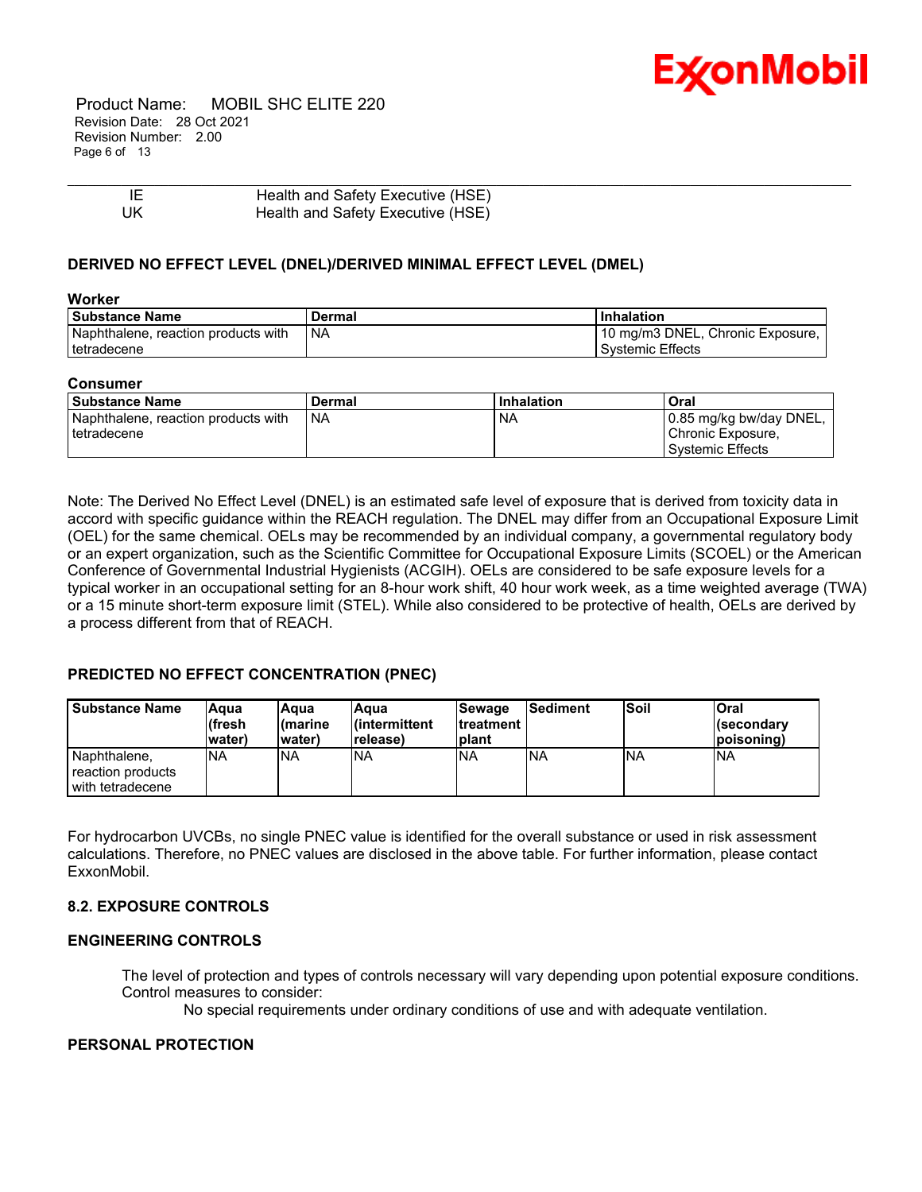

 Product Name: MOBIL SHC ELITE 220 Revision Date: 28 Oct 2021 Revision Number: 2.00 Page 6 of 13

| -IF | Health and Safety Executive (HSE) |
|-----|-----------------------------------|
| UK  | Health and Safety Executive (HSE) |

#### **DERIVED NO EFFECT LEVEL (DNEL)/DERIVED MINIMAL EFFECT LEVEL (DMEL)**

#### **Worker**

| l Substance Name                    | Dermal | <b>Inhalation</b>                 |
|-------------------------------------|--------|-----------------------------------|
| Naphthalene, reaction products with | ' NA   | 110 mg/m3 DNEL, Chronic Exposure, |
| I tetradecene                       |        | Systemic Effects                  |

\_\_\_\_\_\_\_\_\_\_\_\_\_\_\_\_\_\_\_\_\_\_\_\_\_\_\_\_\_\_\_\_\_\_\_\_\_\_\_\_\_\_\_\_\_\_\_\_\_\_\_\_\_\_\_\_\_\_\_\_\_\_\_\_\_\_\_\_\_\_\_\_\_\_\_\_\_\_\_\_\_\_\_\_\_\_\_\_\_\_\_\_\_\_\_\_\_\_\_\_\_\_\_\_\_\_\_\_\_\_\_\_\_\_\_\_\_

#### **Consumer**

| l Substance Name                    | Dermal | Inhalation | Oral                     |
|-------------------------------------|--------|------------|--------------------------|
| Naphthalene, reaction products with | ' NA   | <b>NA</b>  | 10.85 mg/kg bw/day DNEL, |
| tetradecene                         |        |            | Chronic Exposure,        |
|                                     |        |            | Systemic Effects         |

Note: The Derived No Effect Level (DNEL) is an estimated safe level of exposure that is derived from toxicity data in accord with specific guidance within the REACH regulation. The DNEL may differ from an Occupational Exposure Limit (OEL) for the same chemical. OELs may be recommended by an individual company, a governmental regulatory body or an expert organization, such as the Scientific Committee for Occupational Exposure Limits (SCOEL) or the American Conference of Governmental Industrial Hygienists (ACGIH). OELs are considered to be safe exposure levels for a typical worker in an occupational setting for an 8-hour work shift, 40 hour work week, as a time weighted average (TWA) or a 15 minute short-term exposure limit (STEL). While also considered to be protective of health, OELs are derived by a process different from that of REACH.

### **PREDICTED NO EFFECT CONCENTRATION (PNEC)**

| l Substance Name                                        | lAqua<br>(fresh<br>water) | lAqua<br>l(marine<br>water) | Aqua<br>l(intermittent<br>release) | <b>Sewage</b><br><b>Itreatment</b><br>Iplant | lSediment | <b>Soil</b> | Oral<br><b>I</b> (secondarv<br> poisonina) |
|---------------------------------------------------------|---------------------------|-----------------------------|------------------------------------|----------------------------------------------|-----------|-------------|--------------------------------------------|
| Naphthalene.<br>reaction products<br>l with tetradecene | <b>NA</b>                 | <b>NA</b>                   | <b>NA</b>                          | <b>INA</b>                                   | <b>NA</b> | <b>INA</b>  | <b>INA</b>                                 |

For hydrocarbon UVCBs, no single PNEC value is identified for the overall substance or used in risk assessment calculations. Therefore, no PNEC values are disclosed in the above table. For further information, please contact ExxonMobil.

### **8.2. EXPOSURE CONTROLS**

#### **ENGINEERING CONTROLS**

The level of protection and types of controls necessary will vary depending upon potential exposure conditions. Control measures to consider:

No special requirements under ordinary conditions of use and with adequate ventilation.

#### **PERSONAL PROTECTION**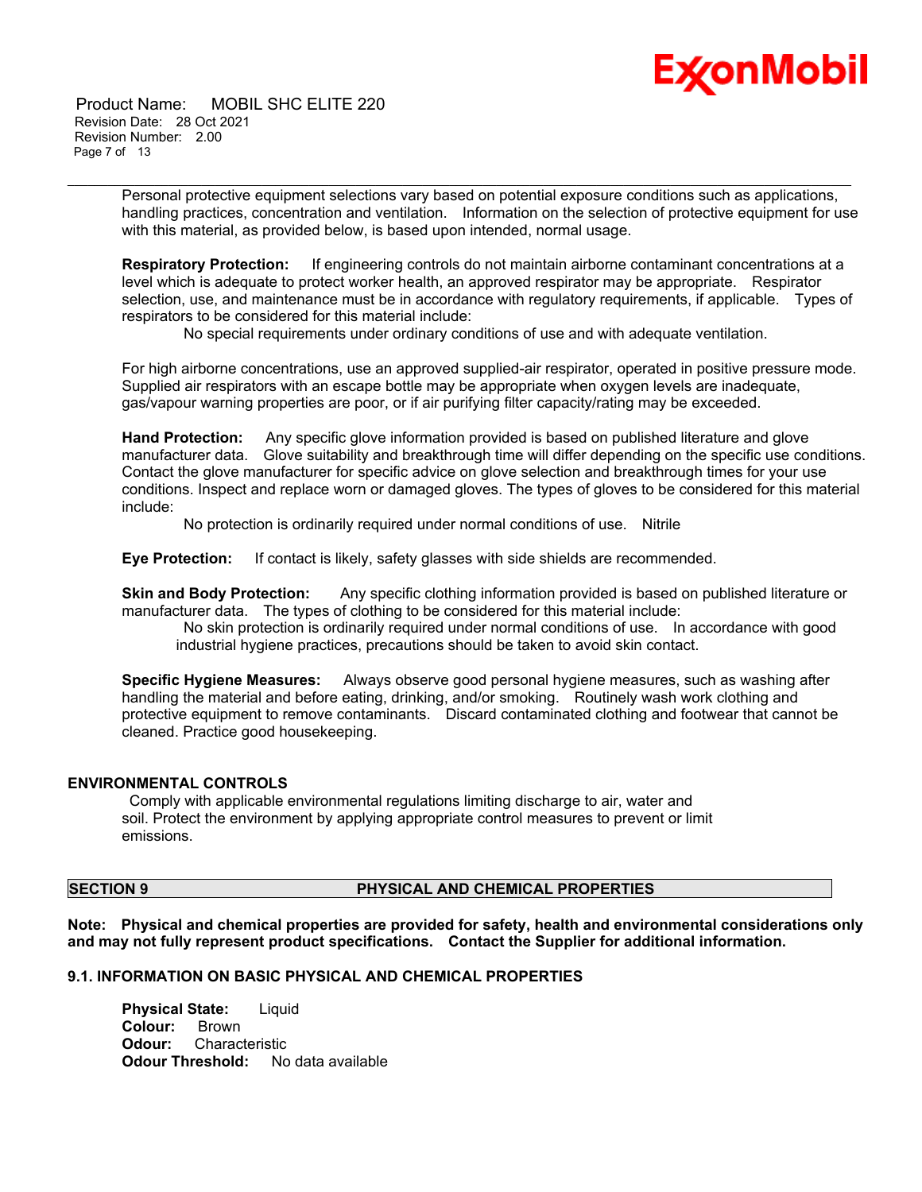# Ex⁄onMobil

 Product Name: MOBIL SHC ELITE 220 Revision Date: 28 Oct 2021 Revision Number: 2.00 Page 7 of 13

> Personal protective equipment selections vary based on potential exposure conditions such as applications, handling practices, concentration and ventilation. Information on the selection of protective equipment for use with this material, as provided below, is based upon intended, normal usage.

\_\_\_\_\_\_\_\_\_\_\_\_\_\_\_\_\_\_\_\_\_\_\_\_\_\_\_\_\_\_\_\_\_\_\_\_\_\_\_\_\_\_\_\_\_\_\_\_\_\_\_\_\_\_\_\_\_\_\_\_\_\_\_\_\_\_\_\_\_\_\_\_\_\_\_\_\_\_\_\_\_\_\_\_\_\_\_\_\_\_\_\_\_\_\_\_\_\_\_\_\_\_\_\_\_\_\_\_\_\_\_\_\_\_\_\_\_

**Respiratory Protection:** If engineering controls do not maintain airborne contaminant concentrations at a level which is adequate to protect worker health, an approved respirator may be appropriate. Respirator selection, use, and maintenance must be in accordance with regulatory requirements, if applicable. Types of respirators to be considered for this material include:

No special requirements under ordinary conditions of use and with adequate ventilation.

For high airborne concentrations, use an approved supplied-air respirator, operated in positive pressure mode. Supplied air respirators with an escape bottle may be appropriate when oxygen levels are inadequate, gas/vapour warning properties are poor, or if air purifying filter capacity/rating may be exceeded.

**Hand Protection:** Any specific glove information provided is based on published literature and glove manufacturer data. Glove suitability and breakthrough time will differ depending on the specific use conditions. Contact the glove manufacturer for specific advice on glove selection and breakthrough times for your use conditions. Inspect and replace worn or damaged gloves. The types of gloves to be considered for this material include:

No protection is ordinarily required under normal conditions of use. Nitrile

**Eye Protection:** If contact is likely, safety glasses with side shields are recommended.

**Skin and Body Protection:** Any specific clothing information provided is based on published literature or manufacturer data. The types of clothing to be considered for this material include:

No skin protection is ordinarily required under normal conditions of use. In accordance with good industrial hygiene practices, precautions should be taken to avoid skin contact.

**Specific Hygiene Measures:** Always observe good personal hygiene measures, such as washing after handling the material and before eating, drinking, and/or smoking. Routinely wash work clothing and protective equipment to remove contaminants. Discard contaminated clothing and footwear that cannot be cleaned. Practice good housekeeping.

#### **ENVIRONMENTAL CONTROLS**

Comply with applicable environmental regulations limiting discharge to air, water and soil. Protect the environment by applying appropriate control measures to prevent or limit emissions.

## **SECTION 9 PHYSICAL AND CHEMICAL PROPERTIES**

**Note: Physical and chemical properties are provided for safety, health and environmental considerations only and may not fully represent product specifications. Contact the Supplier for additional information.**

## **9.1. INFORMATION ON BASIC PHYSICAL AND CHEMICAL PROPERTIES**

**Physical State:** Liquid **Colour:** Brown **Odour:** Characteristic **Odour Threshold:** No data available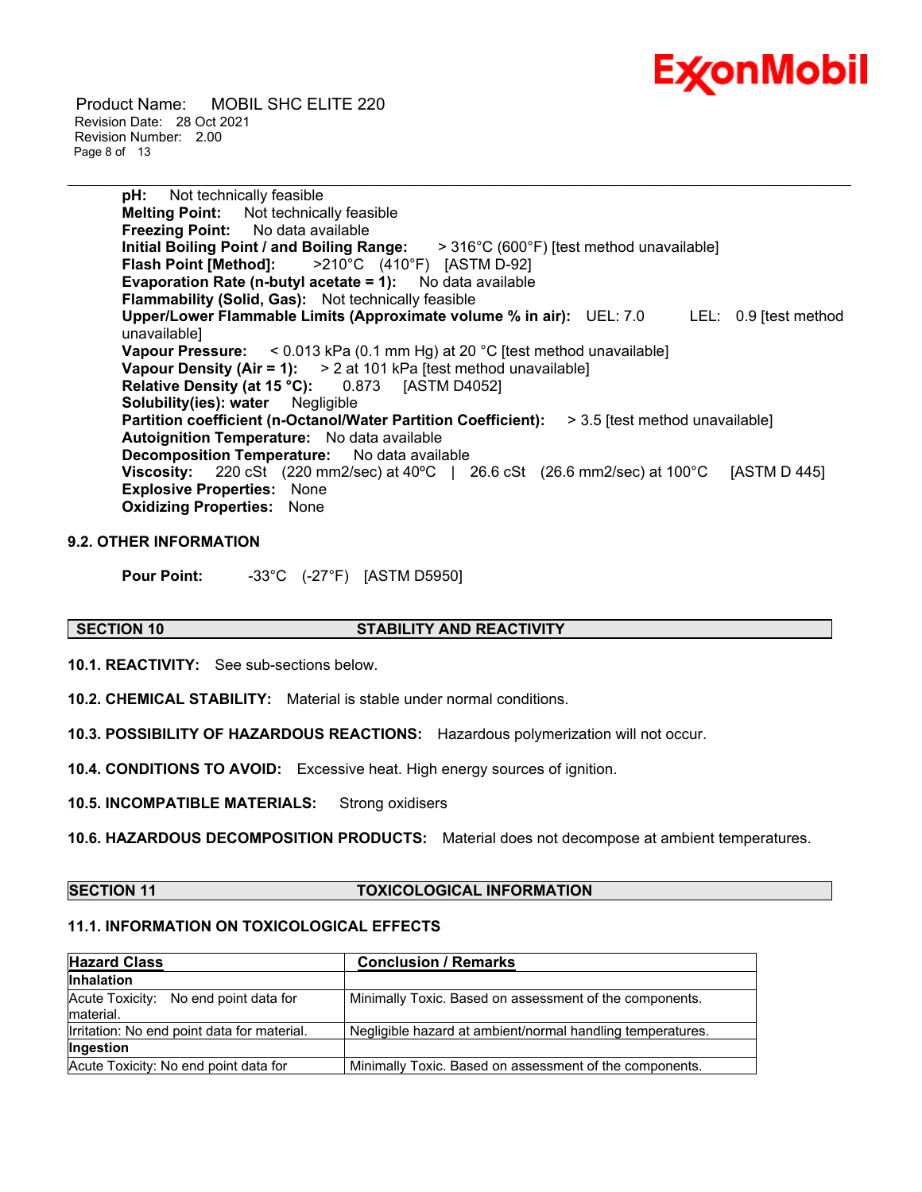

 Product Name: MOBIL SHC ELITE 220 Revision Date: 28 Oct 2021 Revision Number: 2.00 Page 8 of 13

> **pH:** Not technically feasible **Melting Point:** Not technically feasible **Freezing Point:** No data available **Initial Boiling Point / and Boiling Range:** > 316°C (600°F) [test method unavailable] **Flash Point [Method]:** >210°C (410°F) [ASTM D-92] **Evaporation Rate (n-butyl acetate = 1):** No data available **Flammability (Solid, Gas):** Not technically feasible **Upper/Lower Flammable Limits (Approximate volume % in air):** UEL: 7.0 LEL: 0.9 [test method unavailable] **Vapour Pressure:** < 0.013 kPa (0.1 mm Hg) at 20 °C [test method unavailable] **Vapour Density (Air = 1):** > 2 at 101 kPa [test method unavailable] **Relative Density (at 15 °C):** 0.873 [ASTM D4052] **Solubility(ies): water** Negligible **Partition coefficient (n-Octanol/Water Partition Coefficient):** > 3.5 [test method unavailable] **Autoignition Temperature:** No data available **Decomposition Temperature:** No data available **Viscosity:** 220 cSt (220 mm2/sec) at 40ºC | 26.6 cSt (26.6 mm2/sec) at 100°C [ASTM D 445] **Explosive Properties:** None **Oxidizing Properties:** None

\_\_\_\_\_\_\_\_\_\_\_\_\_\_\_\_\_\_\_\_\_\_\_\_\_\_\_\_\_\_\_\_\_\_\_\_\_\_\_\_\_\_\_\_\_\_\_\_\_\_\_\_\_\_\_\_\_\_\_\_\_\_\_\_\_\_\_\_\_\_\_\_\_\_\_\_\_\_\_\_\_\_\_\_\_\_\_\_\_\_\_\_\_\_\_\_\_\_\_\_\_\_\_\_\_\_\_\_\_\_\_\_\_\_\_\_\_

#### **9.2. OTHER INFORMATION**

**Pour Point:** -33°C (-27°F) [ASTM D5950]

#### **SECTION 10 STABILITY AND REACTIVITY**

**10.1. REACTIVITY:** See sub-sections below.

**10.2. CHEMICAL STABILITY:** Material is stable under normal conditions.

**10.3. POSSIBILITY OF HAZARDOUS REACTIONS:** Hazardous polymerization will not occur.

**10.4. CONDITIONS TO AVOID:** Excessive heat. High energy sources of ignition.

**10.5. INCOMPATIBLE MATERIALS:** Strong oxidisers

**10.6. HAZARDOUS DECOMPOSITION PRODUCTS:** Material does not decompose at ambient temperatures.

#### **SECTION 11 TOXICOLOGICAL INFORMATION**

### **11.1. INFORMATION ON TOXICOLOGICAL EFFECTS**

| <b>Hazard Class</b>                                | <b>Conclusion / Remarks</b>                                |
|----------------------------------------------------|------------------------------------------------------------|
| <b>Inhalation</b>                                  |                                                            |
| Acute Toxicity: No end point data for<br>material. | Minimally Toxic. Based on assessment of the components.    |
| Irritation: No end point data for material.        | Negligible hazard at ambient/normal handling temperatures. |
| Ingestion                                          |                                                            |
| Acute Toxicity: No end point data for              | Minimally Toxic. Based on assessment of the components.    |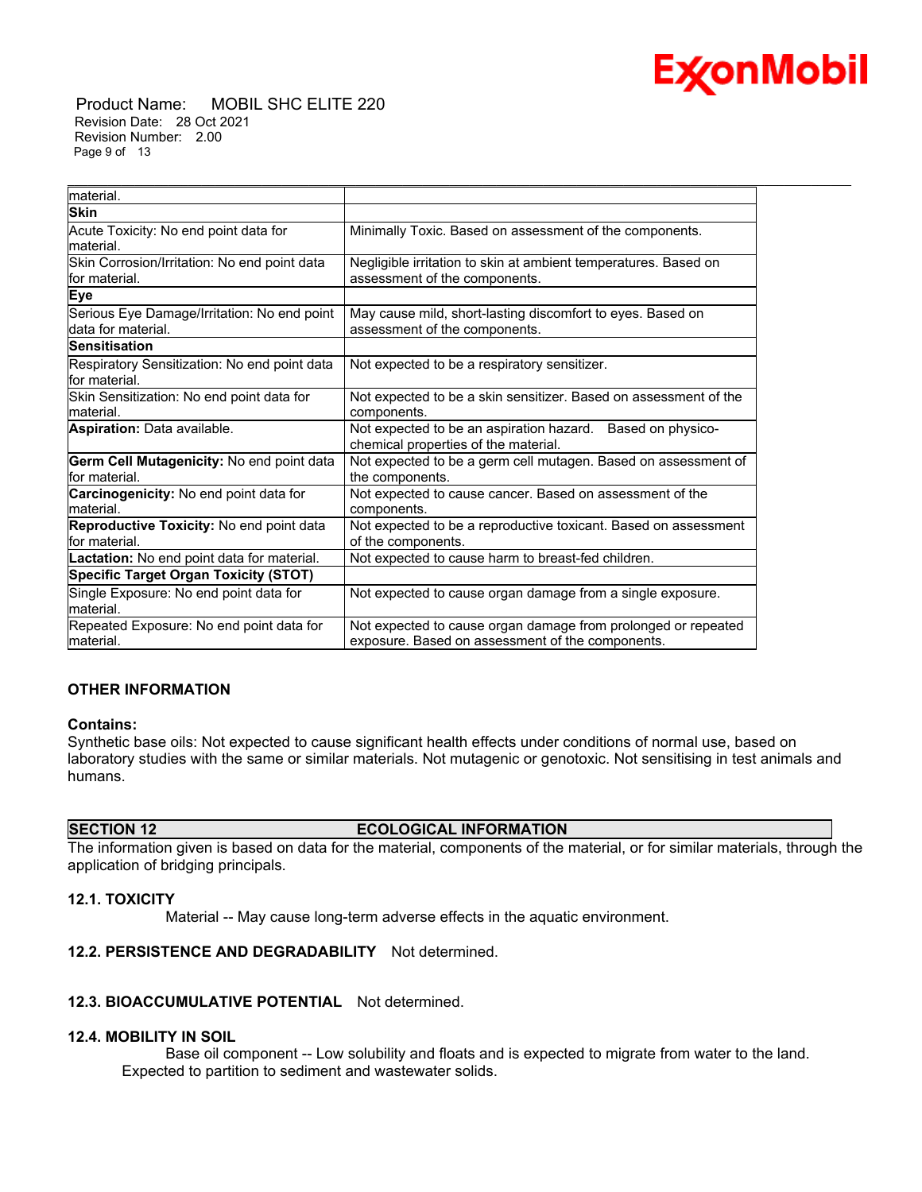

 Product Name: MOBIL SHC ELITE 220 Revision Date: 28 Oct 2021 Revision Number: 2.00 Page 9 of 13

| material.                                    |                                                                  |  |  |
|----------------------------------------------|------------------------------------------------------------------|--|--|
| <b>Skin</b>                                  |                                                                  |  |  |
| Acute Toxicity: No end point data for        | Minimally Toxic. Based on assessment of the components.          |  |  |
| material.                                    |                                                                  |  |  |
| Skin Corrosion/Irritation: No end point data | Negligible irritation to skin at ambient temperatures. Based on  |  |  |
| for material.                                | assessment of the components.                                    |  |  |
| <b>Eye</b>                                   |                                                                  |  |  |
| Serious Eye Damage/Irritation: No end point  | May cause mild, short-lasting discomfort to eyes. Based on       |  |  |
| data for material.                           | assessment of the components.                                    |  |  |
| <b>Sensitisation</b>                         |                                                                  |  |  |
| Respiratory Sensitization: No end point data | Not expected to be a respiratory sensitizer.                     |  |  |
| for material.                                |                                                                  |  |  |
| Skin Sensitization: No end point data for    | Not expected to be a skin sensitizer. Based on assessment of the |  |  |
| material.                                    | components.                                                      |  |  |
| Aspiration: Data available.                  | Not expected to be an aspiration hazard. Based on physico-       |  |  |
|                                              | chemical properties of the material.                             |  |  |
| Germ Cell Mutagenicity: No end point data    | Not expected to be a germ cell mutagen. Based on assessment of   |  |  |
| for material.                                | the components.                                                  |  |  |
| Carcinogenicity: No end point data for       | Not expected to cause cancer. Based on assessment of the         |  |  |
| material.                                    | components.                                                      |  |  |
| Reproductive Toxicity: No end point data     | Not expected to be a reproductive toxicant. Based on assessment  |  |  |
| for material.                                | of the components.                                               |  |  |
| Lactation: No end point data for material.   | Not expected to cause harm to breast-fed children.               |  |  |
| <b>Specific Target Organ Toxicity (STOT)</b> |                                                                  |  |  |
| Single Exposure: No end point data for       | Not expected to cause organ damage from a single exposure.       |  |  |
| material.                                    |                                                                  |  |  |
| Repeated Exposure: No end point data for     | Not expected to cause organ damage from prolonged or repeated    |  |  |
| lmaterial.                                   | exposure. Based on assessment of the components.                 |  |  |

\_\_\_\_\_\_\_\_\_\_\_\_\_\_\_\_\_\_\_\_\_\_\_\_\_\_\_\_\_\_\_\_\_\_\_\_\_\_\_\_\_\_\_\_\_\_\_\_\_\_\_\_\_\_\_\_\_\_\_\_\_\_\_\_\_\_\_\_\_\_\_\_\_\_\_\_\_\_\_\_\_\_\_\_\_\_\_\_\_\_\_\_\_\_\_\_\_\_\_\_\_\_\_\_\_\_\_\_\_\_\_\_\_\_\_\_\_

#### **OTHER INFORMATION**

#### **Contains:**

Synthetic base oils: Not expected to cause significant health effects under conditions of normal use, based on laboratory studies with the same or similar materials. Not mutagenic or genotoxic. Not sensitising in test animals and humans.

#### **SECTION 12 ECOLOGICAL INFORMATION**

The information given is based on data for the material, components of the material, or for similar materials, through the application of bridging principals.

#### **12.1. TOXICITY**

Material -- May cause long-term adverse effects in the aquatic environment.

#### **12.2. PERSISTENCE AND DEGRADABILITY** Not determined.

#### **12.3. BIOACCUMULATIVE POTENTIAL** Not determined.

#### **12.4. MOBILITY IN SOIL**

 Base oil component -- Low solubility and floats and is expected to migrate from water to the land. Expected to partition to sediment and wastewater solids.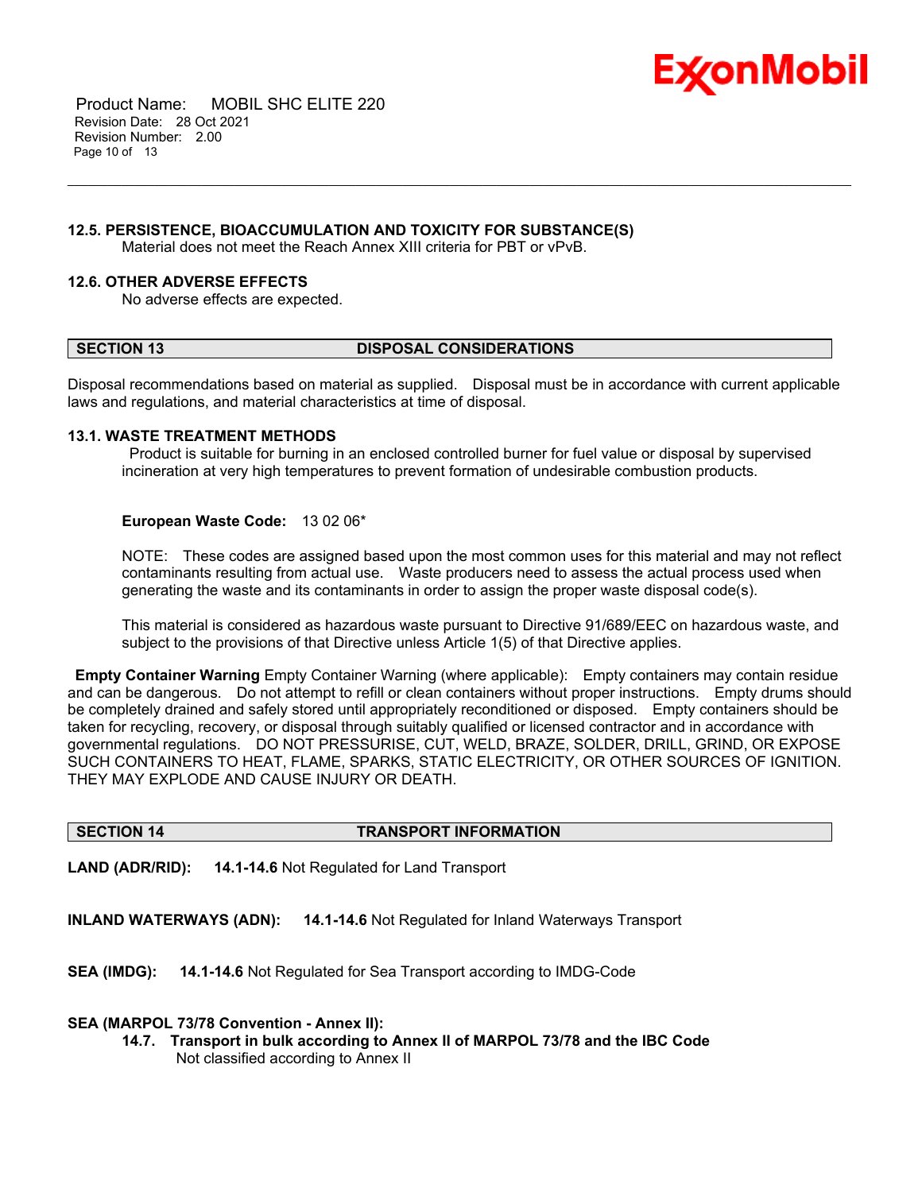

 Product Name: MOBIL SHC ELITE 220 Revision Date: 28 Oct 2021 Revision Number: 2.00 Page 10 of 13

#### **12.5. PERSISTENCE, BIOACCUMULATION AND TOXICITY FOR SUBSTANCE(S)**

Material does not meet the Reach Annex XIII criteria for PBT or vPvB.

#### **12.6. OTHER ADVERSE EFFECTS**

No adverse effects are expected.

#### **SECTION 13 DISPOSAL CONSIDERATIONS**

\_\_\_\_\_\_\_\_\_\_\_\_\_\_\_\_\_\_\_\_\_\_\_\_\_\_\_\_\_\_\_\_\_\_\_\_\_\_\_\_\_\_\_\_\_\_\_\_\_\_\_\_\_\_\_\_\_\_\_\_\_\_\_\_\_\_\_\_\_\_\_\_\_\_\_\_\_\_\_\_\_\_\_\_\_\_\_\_\_\_\_\_\_\_\_\_\_\_\_\_\_\_\_\_\_\_\_\_\_\_\_\_\_\_\_\_\_

Disposal recommendations based on material as supplied. Disposal must be in accordance with current applicable laws and regulations, and material characteristics at time of disposal.

#### **13.1. WASTE TREATMENT METHODS**

Product is suitable for burning in an enclosed controlled burner for fuel value or disposal by supervised incineration at very high temperatures to prevent formation of undesirable combustion products.

#### **European Waste Code:** 13 02 06\*

NOTE: These codes are assigned based upon the most common uses for this material and may not reflect contaminants resulting from actual use. Waste producers need to assess the actual process used when generating the waste and its contaminants in order to assign the proper waste disposal code(s).

This material is considered as hazardous waste pursuant to Directive 91/689/EEC on hazardous waste, and subject to the provisions of that Directive unless Article 1(5) of that Directive applies.

**Empty Container Warning** Empty Container Warning (where applicable): Empty containers may contain residue and can be dangerous. Do not attempt to refill or clean containers without proper instructions. Empty drums should be completely drained and safely stored until appropriately reconditioned or disposed. Empty containers should be taken for recycling, recovery, or disposal through suitably qualified or licensed contractor and in accordance with governmental regulations. DO NOT PRESSURISE, CUT, WELD, BRAZE, SOLDER, DRILL, GRIND, OR EXPOSE SUCH CONTAINERS TO HEAT, FLAME, SPARKS, STATIC ELECTRICITY, OR OTHER SOURCES OF IGNITION. THEY MAY EXPLODE AND CAUSE INJURY OR DEATH.

#### **SECTION 14 TRANSPORT INFORMATION**

**LAND (ADR/RID): 14.1-14.6** Not Regulated for Land Transport

**INLAND WATERWAYS (ADN): 14.1-14.6** Not Regulated for Inland Waterways Transport

**SEA (IMDG): 14.1-14.6** Not Regulated for Sea Transport according to IMDG-Code

#### **SEA (MARPOL 73/78 Convention - Annex II):**

**14.7. Transport in bulk according to Annex II of MARPOL 73/78 and the IBC Code** Not classified according to Annex II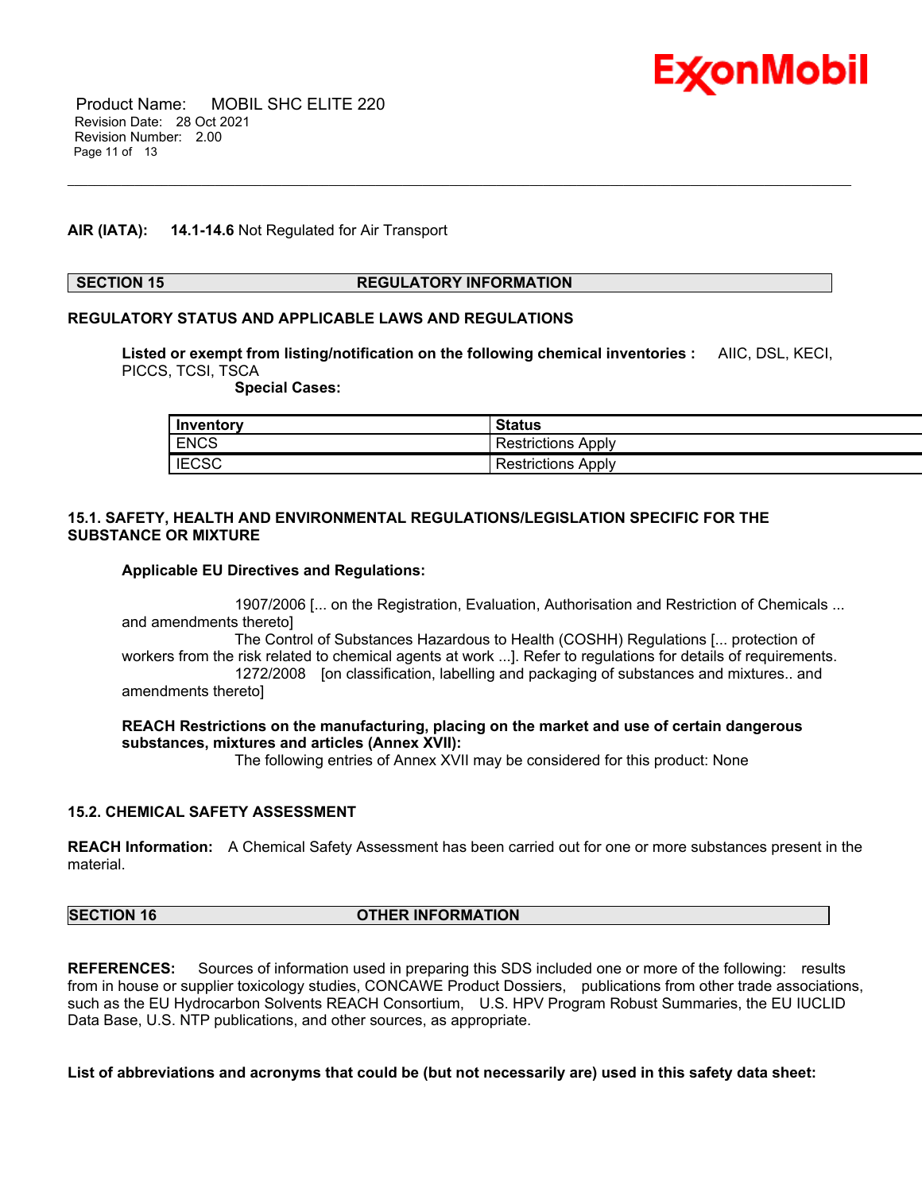

 Product Name: MOBIL SHC ELITE 220 Revision Date: 28 Oct 2021 Revision Number: 2.00 Page 11 of 13

#### **AIR (IATA): 14.1-14.6** Not Regulated for Air Transport

#### **SECTION 15 REGULATORY INFORMATION**

#### **REGULATORY STATUS AND APPLICABLE LAWS AND REGULATIONS**

**Listed or exempt from listing/notification on the following chemical inventories :** AIIC, DSL, KECI, PICCS, TCSI, TSCA

\_\_\_\_\_\_\_\_\_\_\_\_\_\_\_\_\_\_\_\_\_\_\_\_\_\_\_\_\_\_\_\_\_\_\_\_\_\_\_\_\_\_\_\_\_\_\_\_\_\_\_\_\_\_\_\_\_\_\_\_\_\_\_\_\_\_\_\_\_\_\_\_\_\_\_\_\_\_\_\_\_\_\_\_\_\_\_\_\_\_\_\_\_\_\_\_\_\_\_\_\_\_\_\_\_\_\_\_\_\_\_\_\_\_\_\_\_

 **Special Cases:**

| Inventory    | <b>Status</b>             |
|--------------|---------------------------|
| <b>ENCS</b>  | <b>Restrictions Apply</b> |
| <b>IECSC</b> | <b>Restrictions Apply</b> |

#### **15.1. SAFETY, HEALTH AND ENVIRONMENTAL REGULATIONS/LEGISLATION SPECIFIC FOR THE SUBSTANCE OR MIXTURE**

#### **Applicable EU Directives and Regulations:**

 1907/2006 [... on the Registration, Evaluation, Authorisation and Restriction of Chemicals ... and amendments thereto] The Control of Substances Hazardous to Health (COSHH) Regulations [... protection of workers from the risk related to chemical agents at work ...]. Refer to regulations for details of requirements. 1272/2008 [on classification, labelling and packaging of substances and mixtures.. and amendments thereto]

#### **REACH Restrictions on the manufacturing, placing on the market and use of certain dangerous substances, mixtures and articles (Annex XVII):**

The following entries of Annex XVII may be considered for this product: None

#### **15.2. CHEMICAL SAFETY ASSESSMENT**

**REACH Information:** A Chemical Safety Assessment has been carried out for one or more substances present in the material.

| <b>SECTION 16</b> | <b>OTHER INFORMATION</b> |
|-------------------|--------------------------|
|                   |                          |

**REFERENCES:** Sources of information used in preparing this SDS included one or more of the following: results from in house or supplier toxicology studies, CONCAWE Product Dossiers, publications from other trade associations, such as the EU Hydrocarbon Solvents REACH Consortium, U.S. HPV Program Robust Summaries, the EU IUCLID Data Base, U.S. NTP publications, and other sources, as appropriate.

List of abbreviations and acronyms that could be (but not necessarily are) used in this safety data sheet: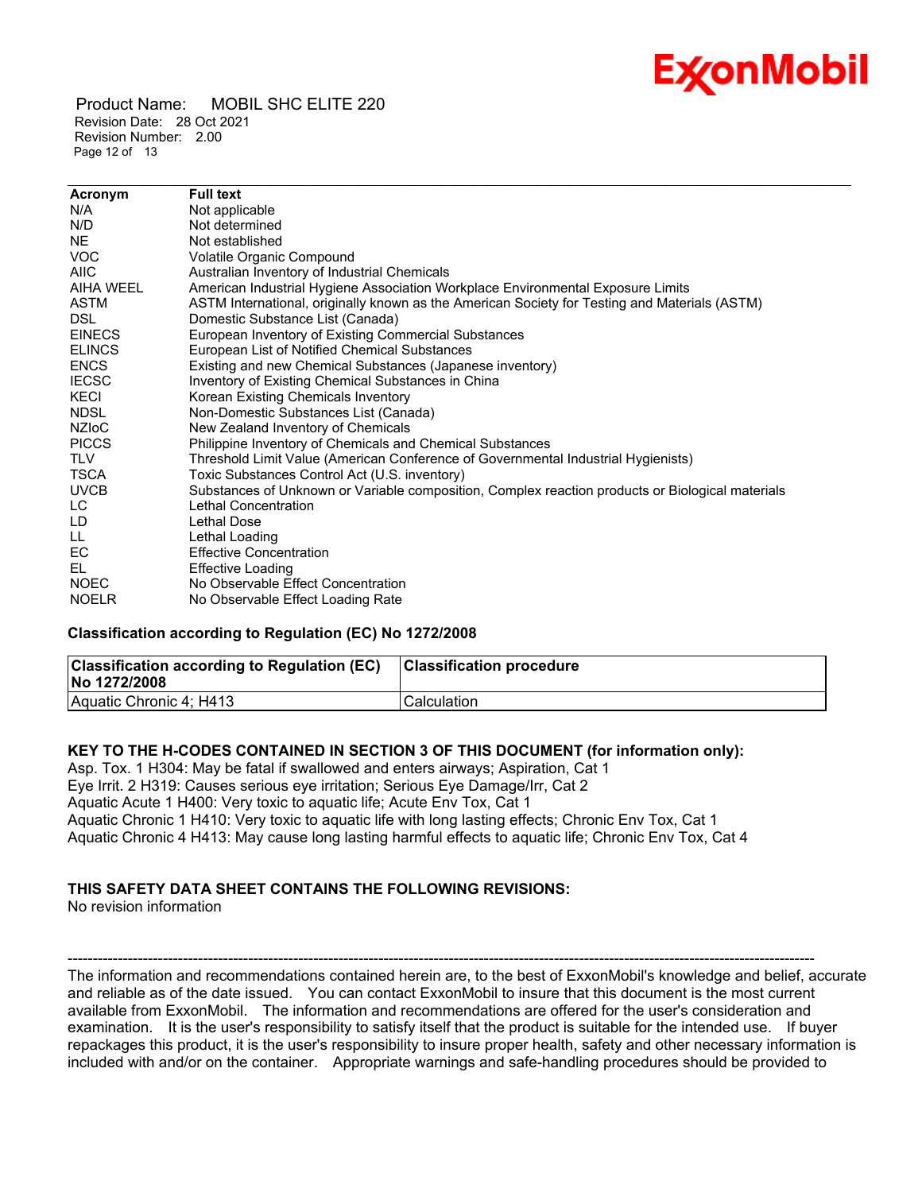## Ex⁄onMobil

 Product Name: MOBIL SHC ELITE 220 Revision Date: 28 Oct 2021 Revision Number: 2.00 Page 12 of 13

| Acronym       | <b>Full text</b>                                                                                 |
|---------------|--------------------------------------------------------------------------------------------------|
| N/A           | Not applicable                                                                                   |
| N/D           | Not determined                                                                                   |
| NE.           | Not established                                                                                  |
| <b>VOC</b>    | Volatile Organic Compound                                                                        |
| <b>AIIC</b>   | Australian Inventory of Industrial Chemicals                                                     |
| AIHA WEEL     | American Industrial Hygiene Association Workplace Environmental Exposure Limits                  |
| ASTM          | ASTM International, originally known as the American Society for Testing and Materials (ASTM)    |
| <b>DSL</b>    | Domestic Substance List (Canada)                                                                 |
| <b>EINECS</b> | European Inventory of Existing Commercial Substances                                             |
| <b>ELINCS</b> | European List of Notified Chemical Substances                                                    |
| <b>ENCS</b>   | Existing and new Chemical Substances (Japanese inventory)                                        |
| <b>IECSC</b>  | Inventory of Existing Chemical Substances in China                                               |
| KECI          | Korean Existing Chemicals Inventory                                                              |
| <b>NDSL</b>   | Non-Domestic Substances List (Canada)                                                            |
| <b>NZIOC</b>  | New Zealand Inventory of Chemicals                                                               |
| <b>PICCS</b>  | Philippine Inventory of Chemicals and Chemical Substances                                        |
| TLV           | Threshold Limit Value (American Conference of Governmental Industrial Hygienists)                |
| TSCA          | Toxic Substances Control Act (U.S. inventory)                                                    |
| <b>UVCB</b>   | Substances of Unknown or Variable composition, Complex reaction products or Biological materials |
| LC.           | Lethal Concentration                                                                             |
| LD            | Lethal Dose                                                                                      |
| LL.           | Lethal Loading                                                                                   |
| EC            | <b>Effective Concentration</b>                                                                   |
| EL            | <b>Effective Loading</b>                                                                         |
| <b>NOEC</b>   | No Observable Effect Concentration                                                               |
| <b>NOELR</b>  | No Observable Effect Loading Rate                                                                |

\_\_\_\_\_\_\_\_\_\_\_\_\_\_\_\_\_\_\_\_\_\_\_\_\_\_\_\_\_\_\_\_\_\_\_\_\_\_\_\_\_\_\_\_\_\_\_\_\_\_\_\_\_\_\_\_\_\_\_\_\_\_\_\_\_\_\_\_\_\_\_\_\_\_\_\_\_\_\_\_\_\_\_\_\_\_\_\_\_\_\_\_\_\_\_\_\_\_\_\_\_\_\_\_\_\_\_\_\_\_\_\_\_\_\_\_\_

### **Classification according to Regulation (EC) No 1272/2008**

| <b>Classification according to Regulation (EC)</b><br>No 1272/2008 | <b>Classification procedure</b> |
|--------------------------------------------------------------------|---------------------------------|
| Aquatic Chronic 4; H413                                            | Calculation                     |

### **KEY TO THE H-CODES CONTAINED IN SECTION 3 OF THIS DOCUMENT (for information only):**

Asp. Tox. 1 H304: May be fatal if swallowed and enters airways; Aspiration, Cat 1 Eye Irrit. 2 H319: Causes serious eye irritation; Serious Eye Damage/Irr, Cat 2 Aquatic Acute 1 H400: Very toxic to aquatic life; Acute Env Tox, Cat 1 Aquatic Chronic 1 H410: Very toxic to aquatic life with long lasting effects; Chronic Env Tox, Cat 1 Aquatic Chronic 4 H413: May cause long lasting harmful effects to aquatic life; Chronic Env Tox, Cat 4

## **THIS SAFETY DATA SHEET CONTAINS THE FOLLOWING REVISIONS:**

No revision information

----------------------------------------------------------------------------------------------------------------------------------------------------- The information and recommendations contained herein are, to the best of ExxonMobil's knowledge and belief, accurate and reliable as of the date issued. You can contact ExxonMobil to insure that this document is the most current available from ExxonMobil. The information and recommendations are offered for the user's consideration and examination. It is the user's responsibility to satisfy itself that the product is suitable for the intended use. If buyer repackages this product, it is the user's responsibility to insure proper health, safety and other necessary information is included with and/or on the container. Appropriate warnings and safe-handling procedures should be provided to